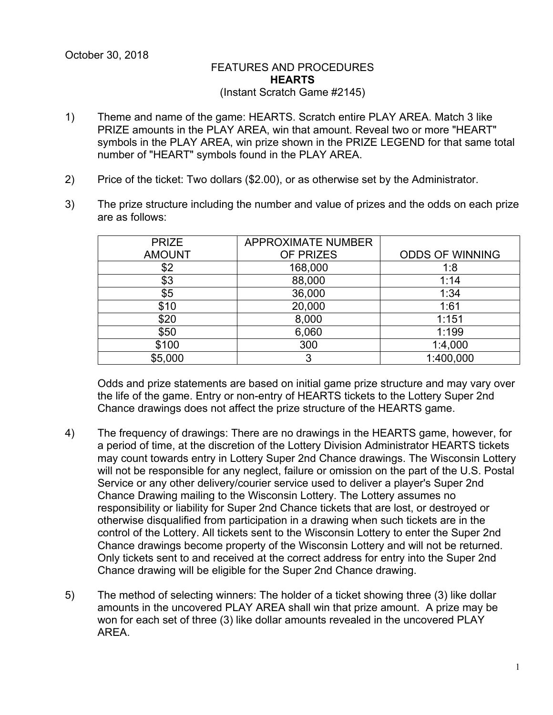## FEATURES AND PROCEDURES **HEARTS** (Instant Scratch Game #2145)

- 1) Theme and name of the game: HEARTS. Scratch entire PLAY AREA. Match 3 like PRIZE amounts in the PLAY AREA, win that amount. Reveal two or more "HEART" symbols in the PLAY AREA, win prize shown in the PRIZE LEGEND for that same total number of "HEART" symbols found in the PLAY AREA.
- 2) Price of the ticket: Two dollars (\$2.00), or as otherwise set by the Administrator.
- 3) The prize structure including the number and value of prizes and the odds on each prize are as follows:

| <b>PRIZE</b>  | <b>APPROXIMATE NUMBER</b> |                        |
|---------------|---------------------------|------------------------|
| <b>AMOUNT</b> | OF PRIZES                 | <b>ODDS OF WINNING</b> |
| \$2           | 168,000                   | 1:8                    |
| \$3           | 88,000                    | 1:14                   |
| \$5           | 36,000                    | 1:34                   |
| \$10          | 20,000                    | 1:61                   |
| \$20          | 8,000                     | 1:151                  |
| \$50          | 6,060                     | 1:199                  |
| \$100         | 300                       | 1:4,000                |
| \$5,000       | 3                         | 1:400,000              |

Odds and prize statements are based on initial game prize structure and may vary over the life of the game. Entry or non-entry of HEARTS tickets to the Lottery Super 2nd Chance drawings does not affect the prize structure of the HEARTS game.

- 4) The frequency of drawings: There are no drawings in the HEARTS game, however, for a period of time, at the discretion of the Lottery Division Administrator HEARTS tickets may count towards entry in Lottery Super 2nd Chance drawings. The Wisconsin Lottery will not be responsible for any neglect, failure or omission on the part of the U.S. Postal Service or any other delivery/courier service used to deliver a player's Super 2nd Chance Drawing mailing to the Wisconsin Lottery. The Lottery assumes no responsibility or liability for Super 2nd Chance tickets that are lost, or destroyed or otherwise disqualified from participation in a drawing when such tickets are in the control of the Lottery. All tickets sent to the Wisconsin Lottery to enter the Super 2nd Chance drawings become property of the Wisconsin Lottery and will not be returned. Only tickets sent to and received at the correct address for entry into the Super 2nd Chance drawing will be eligible for the Super 2nd Chance drawing.
- 5) The method of selecting winners: The holder of a ticket showing three (3) like dollar amounts in the uncovered PLAY AREA shall win that prize amount. A prize may be won for each set of three (3) like dollar amounts revealed in the uncovered PLAY AREA.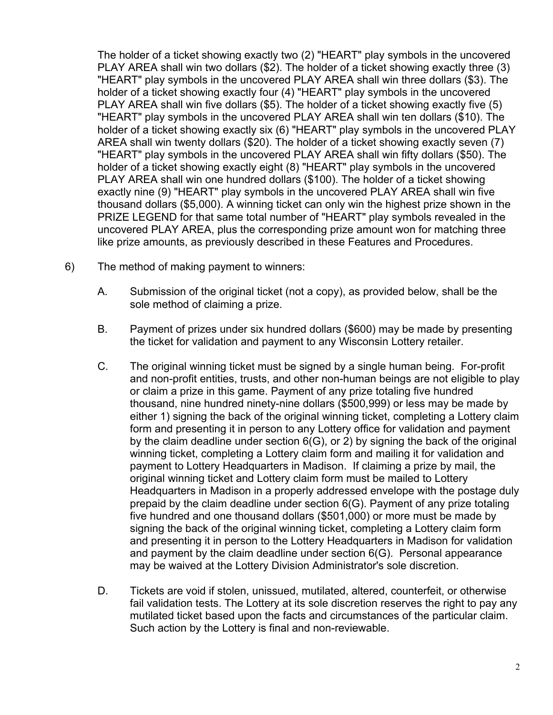The holder of a ticket showing exactly two (2) "HEART" play symbols in the uncovered PLAY AREA shall win two dollars (\$2). The holder of a ticket showing exactly three (3) "HEART" play symbols in the uncovered PLAY AREA shall win three dollars (\$3). The holder of a ticket showing exactly four (4) "HEART" play symbols in the uncovered PLAY AREA shall win five dollars (\$5). The holder of a ticket showing exactly five (5) "HEART" play symbols in the uncovered PLAY AREA shall win ten dollars (\$10). The holder of a ticket showing exactly six (6) "HEART" play symbols in the uncovered PLAY AREA shall win twenty dollars (\$20). The holder of a ticket showing exactly seven (7) "HEART" play symbols in the uncovered PLAY AREA shall win fifty dollars (\$50). The holder of a ticket showing exactly eight (8) "HEART" play symbols in the uncovered PLAY AREA shall win one hundred dollars (\$100). The holder of a ticket showing exactly nine (9) "HEART" play symbols in the uncovered PLAY AREA shall win five thousand dollars (\$5,000). A winning ticket can only win the highest prize shown in the PRIZE LEGEND for that same total number of "HEART" play symbols revealed in the uncovered PLAY AREA, plus the corresponding prize amount won for matching three like prize amounts, as previously described in these Features and Procedures.

- 6) The method of making payment to winners:
	- A. Submission of the original ticket (not a copy), as provided below, shall be the sole method of claiming a prize.
	- B. Payment of prizes under six hundred dollars (\$600) may be made by presenting the ticket for validation and payment to any Wisconsin Lottery retailer.
	- C. The original winning ticket must be signed by a single human being. For-profit and non-profit entities, trusts, and other non-human beings are not eligible to play or claim a prize in this game. Payment of any prize totaling five hundred thousand, nine hundred ninety-nine dollars (\$500,999) or less may be made by either 1) signing the back of the original winning ticket, completing a Lottery claim form and presenting it in person to any Lottery office for validation and payment by the claim deadline under section 6(G), or 2) by signing the back of the original winning ticket, completing a Lottery claim form and mailing it for validation and payment to Lottery Headquarters in Madison. If claiming a prize by mail, the original winning ticket and Lottery claim form must be mailed to Lottery Headquarters in Madison in a properly addressed envelope with the postage duly prepaid by the claim deadline under section 6(G). Payment of any prize totaling five hundred and one thousand dollars (\$501,000) or more must be made by signing the back of the original winning ticket, completing a Lottery claim form and presenting it in person to the Lottery Headquarters in Madison for validation and payment by the claim deadline under section 6(G). Personal appearance may be waived at the Lottery Division Administrator's sole discretion.
	- D. Tickets are void if stolen, unissued, mutilated, altered, counterfeit, or otherwise fail validation tests. The Lottery at its sole discretion reserves the right to pay any mutilated ticket based upon the facts and circumstances of the particular claim. Such action by the Lottery is final and non-reviewable.